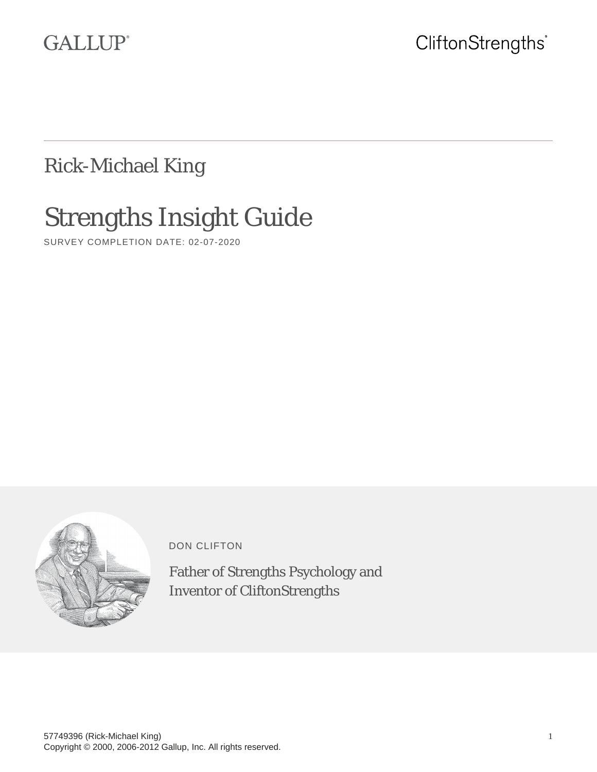# **GALLUP®**

Rick-Michael King

# Strengths Insight Guide

SURVEY COMPLETION DATE: 02-07-2020



DON CLIFTON

Father of Strengths Psychology and Inventor of CliftonStrengths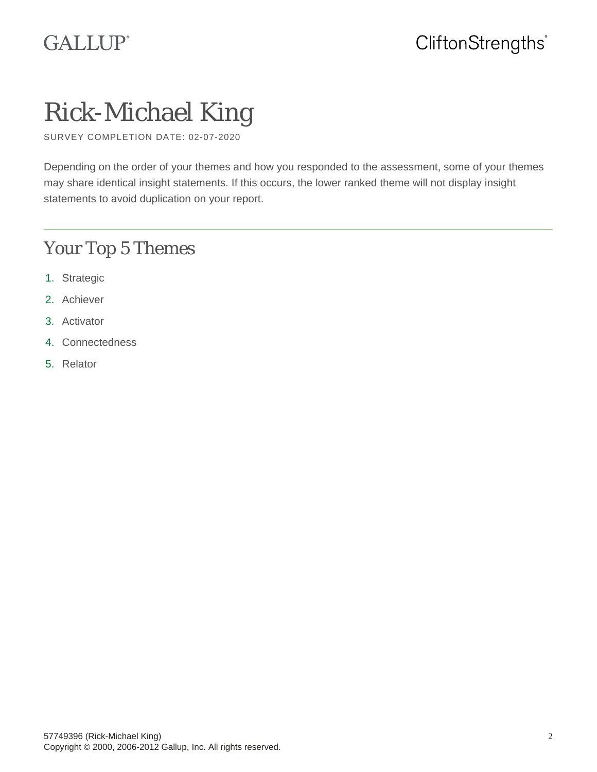# **GALLUP®**

# Rick-Michael King

SURVEY COMPLETION DATE: 02-07-2020

Depending on the order of your themes and how you responded to the assessment, some of your themes may share identical insight statements. If this occurs, the lower ranked theme will not display insight statements to avoid duplication on your report.

# Your Top 5 Themes

- 1. Strategic
- 2. Achiever
- 3. Activator
- 4. Connectedness
- 5. Relator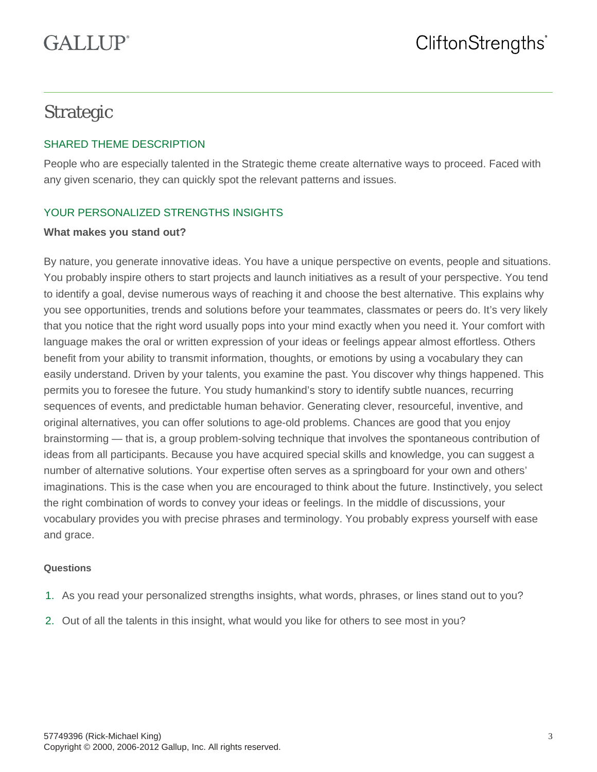# Strategic

## SHARED THEME DESCRIPTION

People who are especially talented in the Strategic theme create alternative ways to proceed. Faced with any given scenario, they can quickly spot the relevant patterns and issues.

## YOUR PERSONALIZED STRENGTHS INSIGHTS

#### **What makes you stand out?**

By nature, you generate innovative ideas. You have a unique perspective on events, people and situations. You probably inspire others to start projects and launch initiatives as a result of your perspective. You tend to identify a goal, devise numerous ways of reaching it and choose the best alternative. This explains why you see opportunities, trends and solutions before your teammates, classmates or peers do. It's very likely that you notice that the right word usually pops into your mind exactly when you need it. Your comfort with language makes the oral or written expression of your ideas or feelings appear almost effortless. Others benefit from your ability to transmit information, thoughts, or emotions by using a vocabulary they can easily understand. Driven by your talents, you examine the past. You discover why things happened. This permits you to foresee the future. You study humankind's story to identify subtle nuances, recurring sequences of events, and predictable human behavior. Generating clever, resourceful, inventive, and original alternatives, you can offer solutions to age-old problems. Chances are good that you enjoy brainstorming — that is, a group problem-solving technique that involves the spontaneous contribution of ideas from all participants. Because you have acquired special skills and knowledge, you can suggest a number of alternative solutions. Your expertise often serves as a springboard for your own and others' imaginations. This is the case when you are encouraged to think about the future. Instinctively, you select the right combination of words to convey your ideas or feelings. In the middle of discussions, your vocabulary provides you with precise phrases and terminology. You probably express yourself with ease and grace.

- 1. As you read your personalized strengths insights, what words, phrases, or lines stand out to you?
- 2. Out of all the talents in this insight, what would you like for others to see most in you?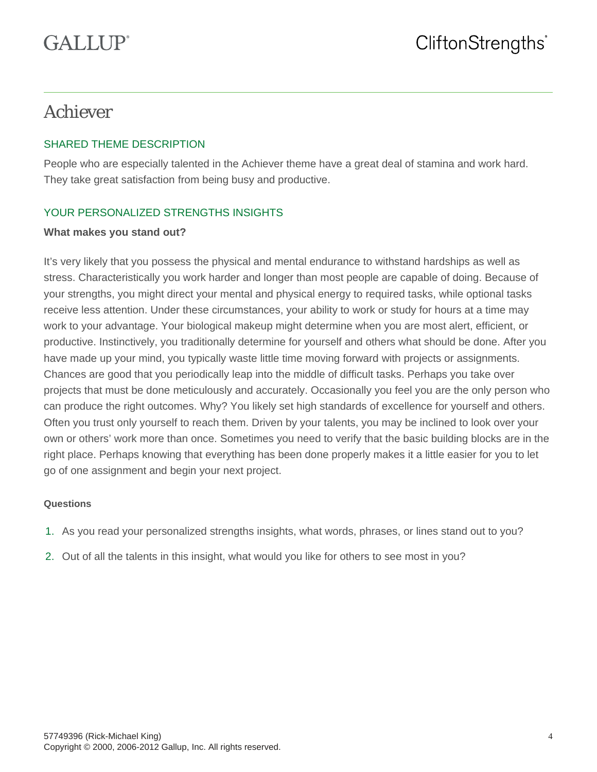# Achiever

## SHARED THEME DESCRIPTION

People who are especially talented in the Achiever theme have a great deal of stamina and work hard. They take great satisfaction from being busy and productive.

## YOUR PERSONALIZED STRENGTHS INSIGHTS

#### **What makes you stand out?**

It's very likely that you possess the physical and mental endurance to withstand hardships as well as stress. Characteristically you work harder and longer than most people are capable of doing. Because of your strengths, you might direct your mental and physical energy to required tasks, while optional tasks receive less attention. Under these circumstances, your ability to work or study for hours at a time may work to your advantage. Your biological makeup might determine when you are most alert, efficient, or productive. Instinctively, you traditionally determine for yourself and others what should be done. After you have made up your mind, you typically waste little time moving forward with projects or assignments. Chances are good that you periodically leap into the middle of difficult tasks. Perhaps you take over projects that must be done meticulously and accurately. Occasionally you feel you are the only person who can produce the right outcomes. Why? You likely set high standards of excellence for yourself and others. Often you trust only yourself to reach them. Driven by your talents, you may be inclined to look over your own or others' work more than once. Sometimes you need to verify that the basic building blocks are in the right place. Perhaps knowing that everything has been done properly makes it a little easier for you to let go of one assignment and begin your next project.

- 1. As you read your personalized strengths insights, what words, phrases, or lines stand out to you?
- 2. Out of all the talents in this insight, what would you like for others to see most in you?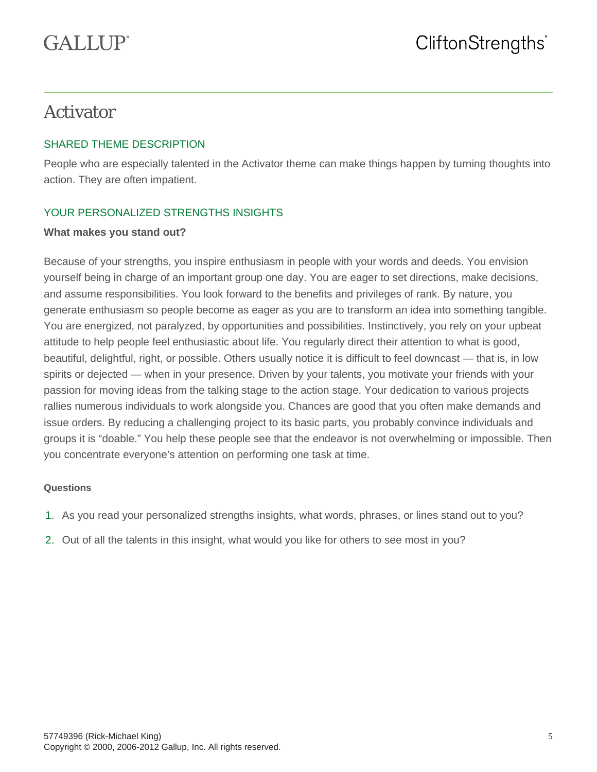# Activator

## SHARED THEME DESCRIPTION

People who are especially talented in the Activator theme can make things happen by turning thoughts into action. They are often impatient.

## YOUR PERSONALIZED STRENGTHS INSIGHTS

#### **What makes you stand out?**

Because of your strengths, you inspire enthusiasm in people with your words and deeds. You envision yourself being in charge of an important group one day. You are eager to set directions, make decisions, and assume responsibilities. You look forward to the benefits and privileges of rank. By nature, you generate enthusiasm so people become as eager as you are to transform an idea into something tangible. You are energized, not paralyzed, by opportunities and possibilities. Instinctively, you rely on your upbeat attitude to help people feel enthusiastic about life. You regularly direct their attention to what is good, beautiful, delightful, right, or possible. Others usually notice it is difficult to feel downcast — that is, in low spirits or dejected — when in your presence. Driven by your talents, you motivate your friends with your passion for moving ideas from the talking stage to the action stage. Your dedication to various projects rallies numerous individuals to work alongside you. Chances are good that you often make demands and issue orders. By reducing a challenging project to its basic parts, you probably convince individuals and groups it is "doable." You help these people see that the endeavor is not overwhelming or impossible. Then you concentrate everyone's attention on performing one task at time.

- 1. As you read your personalized strengths insights, what words, phrases, or lines stand out to you?
- 2. Out of all the talents in this insight, what would you like for others to see most in you?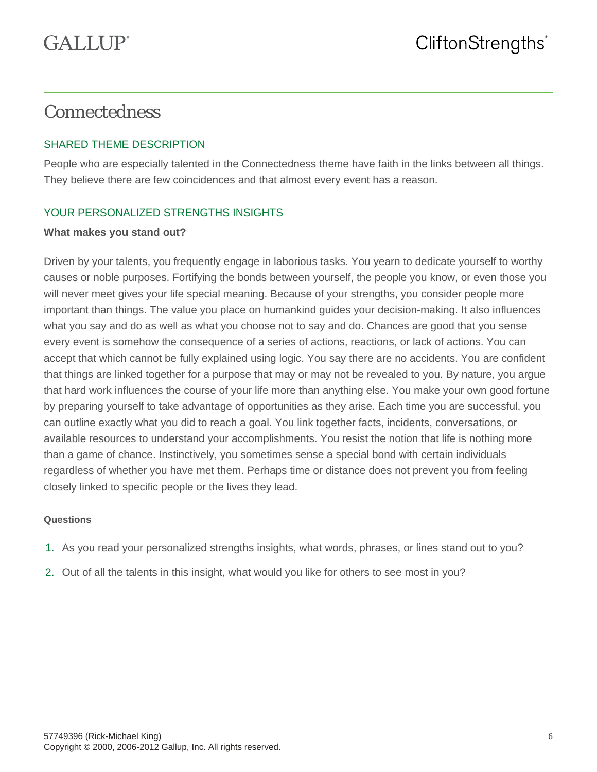## Connectedness

## SHARED THEME DESCRIPTION

People who are especially talented in the Connectedness theme have faith in the links between all things. They believe there are few coincidences and that almost every event has a reason.

## YOUR PERSONALIZED STRENGTHS INSIGHTS

#### **What makes you stand out?**

Driven by your talents, you frequently engage in laborious tasks. You yearn to dedicate yourself to worthy causes or noble purposes. Fortifying the bonds between yourself, the people you know, or even those you will never meet gives your life special meaning. Because of your strengths, you consider people more important than things. The value you place on humankind guides your decision-making. It also influences what you say and do as well as what you choose not to say and do. Chances are good that you sense every event is somehow the consequence of a series of actions, reactions, or lack of actions. You can accept that which cannot be fully explained using logic. You say there are no accidents. You are confident that things are linked together for a purpose that may or may not be revealed to you. By nature, you argue that hard work influences the course of your life more than anything else. You make your own good fortune by preparing yourself to take advantage of opportunities as they arise. Each time you are successful, you can outline exactly what you did to reach a goal. You link together facts, incidents, conversations, or available resources to understand your accomplishments. You resist the notion that life is nothing more than a game of chance. Instinctively, you sometimes sense a special bond with certain individuals regardless of whether you have met them. Perhaps time or distance does not prevent you from feeling closely linked to specific people or the lives they lead.

- 1. As you read your personalized strengths insights, what words, phrases, or lines stand out to you?
- 2. Out of all the talents in this insight, what would you like for others to see most in you?